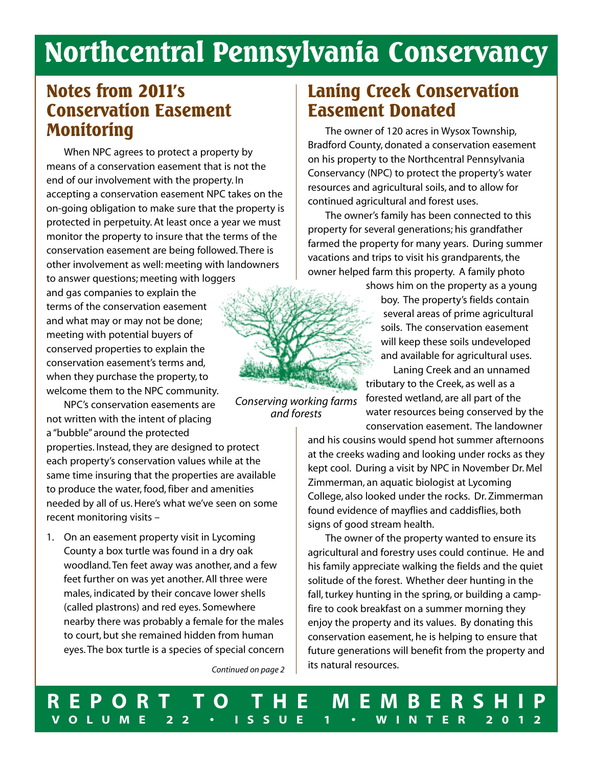# **Northcentral Pennsylvania Conservancy**

### **Notes from 2011's Conservation Easement Monitoring**

When NPC agrees to protect a property by means of a conservation easement that is not the end of our involvement with the property. In accepting a conservation easement NPC takes on the on-going obligation to make sure that the property is protected in perpetuity. At least once a year we must monitor the property to insure that the terms of the conservation easement are being followed.There is other involvement as well: meeting with landowners to answer questions; meeting with loggers

and gas companies to explain the terms of the conservation easement and what may or may not be done; meeting with potential buyers of conserved properties to explain the conservation easement's terms and, when they purchase the property, to welcome them to the NPC community.

NPC's conservation easements are not written with the intent of placing a "bubble" around the protected

properties. Instead, they are designed to protect each property's conservation values while at the same time insuring that the properties are available to produce the water, food, fiber and amenities needed by all of us.Here's what we've seen on some recent monitoring visits –

1. On an easement property visit in Lycoming County a box turtle was found in a dry oak woodland.Ten feet away was another, and a few feet further on was yet another. All three were males, indicated by their concave lower shells (called plastrons) and red eyes. Somewhere nearby there was probably a female for the males to court, but she remained hidden from human eyes.The box turtle is a species of special concern

*Continued on page 2*

### **Laning Creek Conservation Easement Donated**

The owner of 120 acres in Wysox Township, Bradford County, donated a conservation easement on his property to the Northcentral Pennsylvania Conservancy (NPC) to protect the property's water resources and agricultural soils, and to allow for continued agricultural and forest uses.

The owner's family has been connected to this property for several generations; his grandfather farmed the property for many years. During summer vacations and trips to visit his grandparents, the owner helped farm this property. A family photo

shows him on the property as a young boy. The property's fields contain several areas of prime agricultural soils. The conservation easement will keep these soils undeveloped and available for agricultural uses.

Laning Creek and an unnamed tributary to the Creek, as well as a forested wetland, are all part of the water resources being conserved by the conservation easement. The landowner

and his cousins would spend hot summer afternoons at the creeks wading and looking under rocks as they kept cool. During a visit by NPC in November Dr. Mel Zimmerman, an aquatic biologist at Lycoming College, also looked under the rocks. Dr. Zimmerman found evidence of mayflies and caddisflies, both signs of good stream health.

The owner of the property wanted to ensure its agricultural and forestry uses could continue. He and his family appreciate walking the fields and the quiet solitude of the forest. Whether deer hunting in the fall, turkey hunting in the spring, or building a campfire to cook breakfast on a summer morning they enjoy the property and its values. By donating this conservation easement, he is helping to ensure that future generations will benefit from the property and its natural resources.

*Conserving working farms and forests*

**R E P O R T T O T H E M E M B E R S H I P** VOLUME 22 · ISSUE 1 · WINTER 2012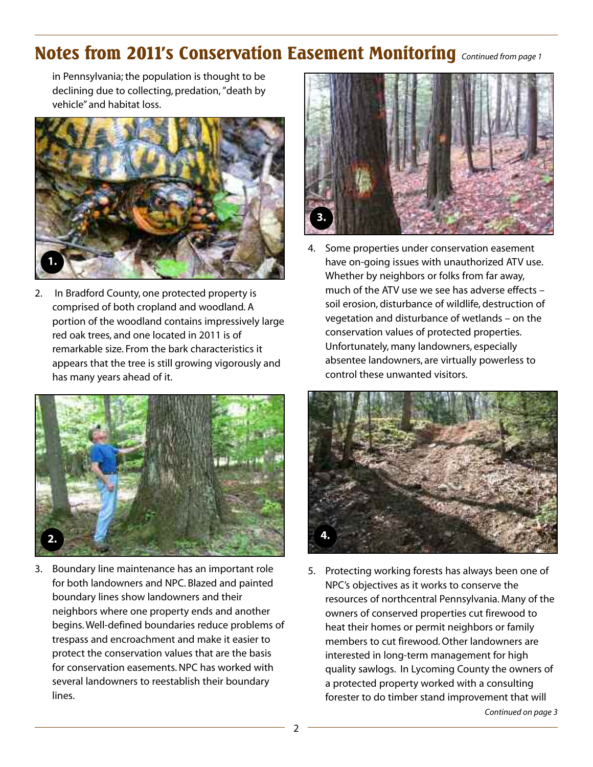### **Notes from 2011's Conservation Easement Monitoring** *Continued from page <sup>1</sup>*

in Pennsylvania; the population is thought to be declining due to collecting, predation,"death by vehicle" and habitat loss.



2. In Bradford County, one protected property is comprised of both cropland and woodland. A portion of the woodland contains impressively large red oak trees, and one located in 2011 is of remarkable size. From the bark characteristics it appears that the tree is still growing vigorously and has many years ahead of it.



3. Boundary line maintenance has an important role for both landowners and NPC. Blazed and painted boundary lines show landowners and their neighbors where one property ends and another begins.Well-defined boundaries reduce problems of trespass and encroachment and make it easier to protect the conservation values that are the basis for conservation easements.NPC has worked with several landowners to reestablish their boundary lines.



4. Some properties under conservation easement have on-going issues with unauthorized ATV use. Whether by neighbors or folks from far away, much of the ATV use we see has adverse effects – soil erosion, disturbance of wildlife, destruction of vegetation and disturbance of wetlands – on the conservation values of protected properties. Unfortunately, many landowners, especially absentee landowners, are virtually powerless to control these unwanted visitors.



5. Protecting working forests has always been one of NPC's objectives as it works to conserve the resources of northcentral Pennsylvania. Many of the owners of conserved properties cut firewood to heat their homes or permit neighbors or family members to cut firewood.Other landowners are interested in long-term management for high quality sawlogs. In Lycoming County the owners of a protected property worked with a consulting forester to do timber stand improvement that will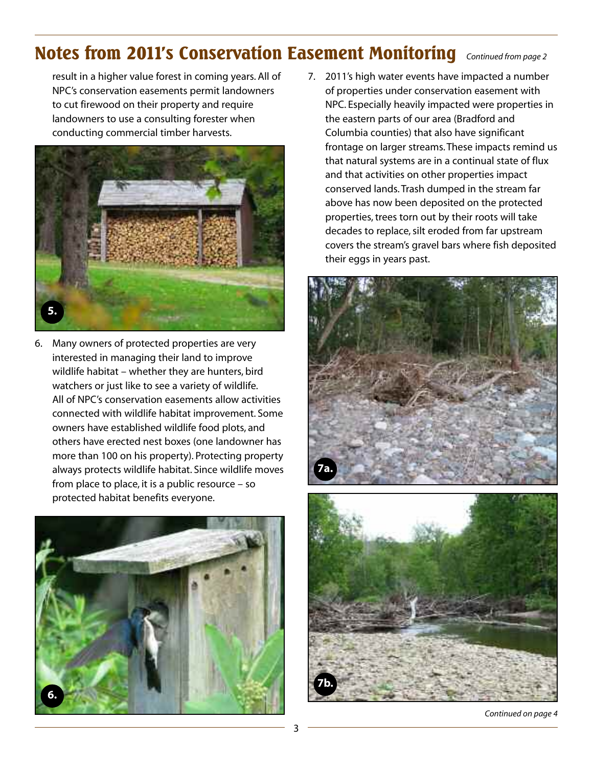### **Notes from 2011's Conservation Easement Monitoring** *Continued from page <sup>2</sup>*

result in a higher value forest in coming years. All of NPC's conservation easements permit landowners to cut firewood on their property and require landowners to use a consulting forester when conducting commercial timber harvests.



6. Many owners of protected properties are very interested in managing their land to improve wildlife habitat – whether they are hunters, bird watchers or just like to see a variety of wildlife. All of NPC's conservation easements allow activities connected with wildlife habitat improvement. Some owners have established wildlife food plots, and others have erected nest boxes (one landowner has more than 100 on his property). Protecting property always protects wildlife habitat. Since wildlife moves from place to place, it is a public resource – so protected habitat benefits everyone.



7. 2011's high water events have impacted a number of properties under conservation easement with NPC. Especially heavily impacted were properties in the eastern parts of our area (Bradford and Columbia counties) that also have significant frontage on larger streams.These impacts remind us that natural systems are in a continual state of flux and that activities on other properties impact conserved lands.Trash dumped in the stream far above has now been deposited on the protected properties, trees torn out by their roots will take decades to replace, silt eroded from far upstream covers the stream's gravel bars where fish deposited their eggs in years past.





*Continued on page 4*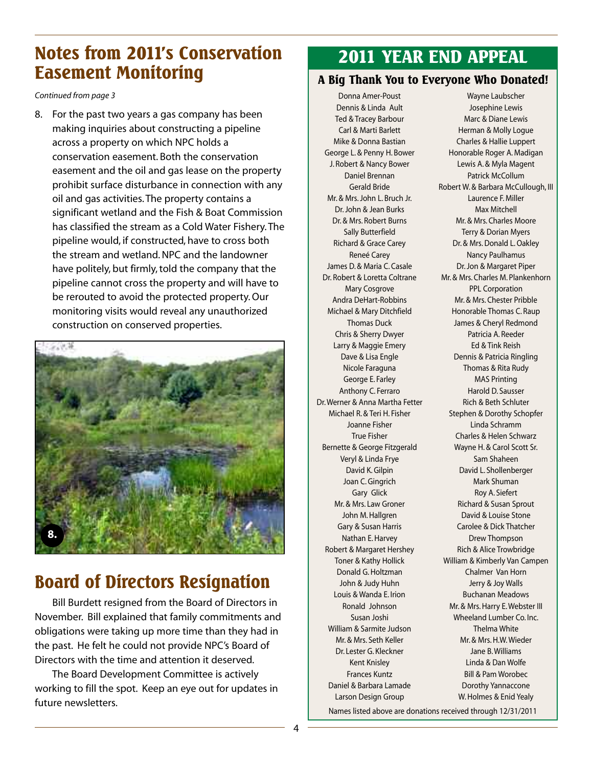### **Notes from 2011's Conservation Easement Monitoring**

*Continued from page 3*

8. For the past two years a gas company has been making inquiries about constructing a pipeline across a property on which NPC holds a conservation easement. Both the conservation easement and the oil and gas lease on the property prohibit surface disturbance in connection with any oil and gas activities.The property contains a significant wetland and the Fish & Boat Commission has classified the stream as a Cold Water Fishery.The pipeline would, if constructed, have to cross both the stream and wetland.NPC and the landowner have politely, but firmly, told the company that the pipeline cannot cross the property and will have to be rerouted to avoid the protected property.Our monitoring visits would reveal any unauthorized construction on conserved properties.



## **Board of Directors Resignation**

Bill Burdett resigned from the Board of Directors in November. Bill explained that family commitments and obligations were taking up more time than they had in the past. He felt he could not provide NPC's Board of Directors with the time and attention it deserved.

The Board Development Committee is actively working to fill the spot. Keep an eye out for updates in future newsletters.

### **2011 YEAR END APPEAL**

### **A Big Thank You to Everyone Who Donated!**

Donna Amer-Poust Dennis & Linda Ault Ted & Tracey Barbour Carl & Marti Barlett Mike & Donna Bastian George L. & Penny H. Bower J. Robert & Nancy Bower Daniel Brennan Gerald Bride Mr. & Mrs.John L. Bruch Jr. Dr.John & Jean Burks Dr. & Mrs. Robert Burns Sally Butterfield Richard & Grace Carey Reneé Carey James D. & Maria C. Casale Dr. Robert & Loretta Coltrane Mary Cosgrove Andra DeHart-Robbins Michael & Mary Ditchfield Thomas Duck Chris & Sherry Dwyer Larry & Maggie Emery Dave & Lisa Engle Nicole Faraguna George E. Farley Anthony C. Ferraro Dr.Werner & Anna Martha Fetter Michael R. & Teri H. Fisher Joanne Fisher True Fisher Bernette & George Fitzgerald Veryl & Linda Frye David K.Gilpin Joan C.Gingrich Gary Glick Mr. & Mrs. Law Groner John M.Hallgren Gary & Susan Harris Nathan E.Harvey Robert & Margaret Hershey Toner & Kathy Hollick Donald G.Holtzman John & Judy Huhn Louis & Wanda E. Irion Ronald Johnson Susan Joshi William & Sarmite Judson Mr. & Mrs. Seth Keller Dr. Lester G. Kleckner Kent Knisley Frances Kuntz Daniel & Barbara Lamade Larson Design Group

Wayne Laubscher Josephine Lewis Marc & Diane Lewis Herman & Molly Logue Charles & Hallie Luppert Honorable Roger A. Madigan Lewis A. & Myla Magent Patrick McCollum Robert W. & Barbara McCullough, III Laurence F. Miller Max Mitchell Mr. & Mrs. Charles Moore Terry & Dorian Myers Dr. & Mrs. Donald L. Oakley Nancy Paulhamus Dr.Jon & Margaret Piper Mr. & Mrs. Charles M. Plankenhorn PPL Corporation Mr. & Mrs. Chester Pribble Honorable Thomas C. Raup James & Cheryl Redmond Patricia A. Reeder Ed & Tink Reish Dennis & Patricia Ringling Thomas & Rita Rudy MAS Printing Harold D. Sausser Rich & Beth Schluter Stephen & Dorothy Schopfer Linda Schramm Charles & Helen Schwarz Wayne H. & Carol Scott Sr. Sam Shaheen David L. Shollenberger Mark Shuman Roy A. Siefert Richard & Susan Sprout David & Louise Stone Carolee & Dick Thatcher Drew Thompson Rich & Alice Trowbridge William & Kimberly Van Campen Chalmer Van Horn Jerry & Joy Walls Buchanan Meadows Mr. & Mrs. Harry E. Webster III Wheeland Lumber Co. Inc. Thelma White Mr. & Mrs.H.W.Wieder Jane B.Williams Linda & Dan Wolfe Bill & Pam Worobec Dorothy Yannaccone W.Holmes & Enid Yealy

Names listed above are donations received through 12/31/2011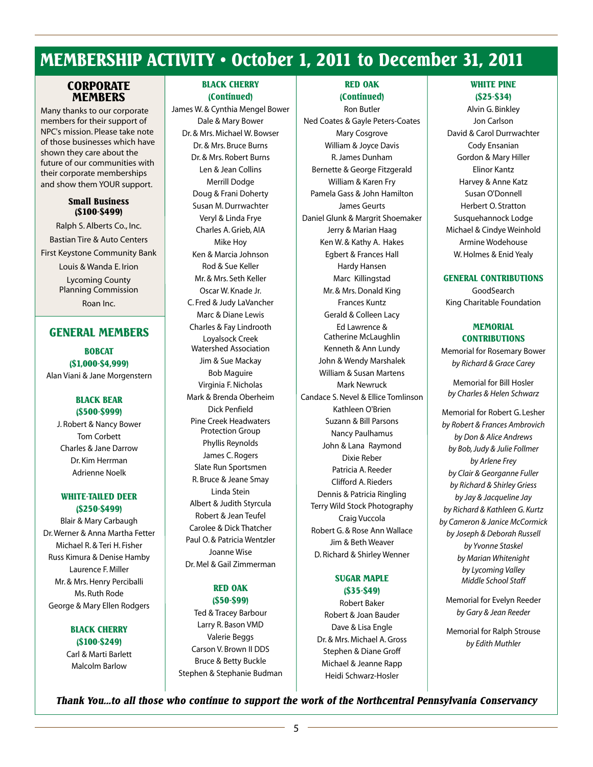### **MEMBERSHIP ACTIVITY • October 1, 2011 to December 31, 2011**

#### **CORPORATE MEMBERS**

Many thanks to our corporate members for their support of NPC's mission. Please take note of those businesses which have shown they care about the future of our communities with their corporate memberships and show them YOUR support.

#### **Small Business (\$100-\$499)**

Ralph S. Alberts Co., Inc. Bastian Tire & Auto Centers First Keystone Community Bank

> Louis & Wanda E. Irion Lycoming County Planning Commission Roan Inc.

#### **GENERAL MEMBERS**

**BOBCAT (\$1,000-\$4,999)** Alan Viani & Jane Morgenstern

#### **BLACK BEAR (\$500-\$999)**

J. Robert & Nancy Bower Tom Corbett Charles & Jane Darrow Dr. Kim Herrman Adrienne Noelk

#### **WHITE-TAILED DEER (\$250-\$499)**

Blair & Mary Carbaugh Dr.Werner & Anna Martha Fetter Michael R. & Teri H. Fisher Russ Kimura & Denise Hamby Laurence F. Miller Mr. & Mrs. Henry Perciballi Ms. Ruth Rode George & Mary Ellen Rodgers

#### **BLACK CHERRY (\$100-\$249)**

Carl & Marti Barlett Malcolm Barlow

#### **BLACK CHERRY (Continued)**

James W. & Cynthia Mengel Bower Dale & Mary Bower Dr. & Mrs. Michael W. Bowser Dr. & Mrs. Bruce Burns Dr. & Mrs. Robert Burns Len & Jean Collins Merrill Dodge Doug & Frani Doherty Susan M.Durrwachter Veryl & Linda Frye Charles A.Grieb, AIA Mike Hoy Ken & Marcia Johnson Rod & Sue Keller Mr. & Mrs. Seth Keller Oscar W. Knade Jr. C. Fred & Judy LaVancher Marc & Diane Lewis Charles & Fay Lindrooth Loyalsock Creek Watershed Association Jim & Sue Mackay Bob Maguire Virginia F.Nicholas Mark & Brenda Oberheim Dick Penfield Pine Creek Headwaters Protection Group Phyllis Reynolds James C. Rogers Slate Run Sportsmen R. Bruce & Jeane Smay Linda Stein Albert & Judith Styrcula Robert & Jean Teufel Carolee & Dick Thatcher Paul O. & Patricia Wentzler Joanne Wise Dr. Mel & Gail Zimmerman

#### **RED OAK (\$50-\$99)**

Ted & Tracey Barbour Larry R. Bason VMD Valerie Beggs Carson V. Brown II DDS Bruce & Betty Buckle Stephen & Stephanie Budman

#### **RED OAK (Continued)**

Ron Butler Ned Coates & Gayle Peters-Coates Mary Cosgrove William & Joyce Davis R.James Dunham Bernette & George Fitzgerald William & Karen Fry Pamela Gass & John Hamilton James Geurts Daniel Glunk & Margrit Shoemaker Jerry & Marian Haag Ken W. & Kathy A. Hakes Egbert & Frances Hall Hardy Hansen Marc Killingstad Mr. & Mrs.Donald King Frances Kuntz Gerald & Colleen Lacy Ed Lawrence & Catherine McLaughlin Kenneth & Ann Lundy John & Wendy Marshalek William & Susan Martens Mark Newruck Candace S.Nevel & Ellice Tomlinson Kathleen O'Brien Suzann & Bill Parsons Nancy Paulhamus John & Lana Raymond Dixie Reber Patricia A. Reeder Clifford A. Rieders Dennis & Patricia Ringling Terry Wild Stock Photography Craig Vuccola Robert G. & Rose Ann Wallace Jim & Beth Weaver D. Richard & Shirley Wenner

#### **SUGAR MAPLE (\$35-\$49)**

Robert Baker Robert & Joan Bauder Dave & Lisa Engle Dr. & Mrs. Michael A.Gross Stephen & Diane Groff Michael & Jeanne Rapp Heidi Schwarz-Hosler

#### **WHITE PINE (\$25-\$34)**

Alvin G. Binkley Jon Carlson David & Carol Durrwachter Cody Ensanian Gordon & Mary Hiller Elinor Kantz Harvey & Anne Katz Susan O'Donnell Herbert O. Stratton Susquehannock Lodge Michael & Cindye Weinhold Armine Wodehouse W.Holmes & Enid Yealy

#### **GENERAL CONTRIBUTIONS**

GoodSearch King Charitable Foundation

#### **MEMORIAL CONTRIBUTIONS**

Memorial for Rosemary Bower *by Richard & Grace Carey*

Memorial for Bill Hosler *by Charles & Helen Schwarz*

Memorial for Robert G. Lesher *by Robert & Frances Ambrovich by Don & Alice Andrews by Bob,Judy & Julie Follmer by Arlene Frey by Clair & Georganne Fuller by Richard & Shirley Griess by Jay & Jacqueline Jay by Richard & Kathleen G. Kurtz by Cameron & Janice McCormick by Joseph & Deborah Russell by Yvonne Staskel by Marian Whitenight by Lycoming Valley Middle School Staff*

Memorial for Evelyn Reeder *by Gary & Jean Reeder*

Memorial for Ralph Strouse *by Edith Muthler*

*Thank You...to all those who continue to support the work of the Northcentral Pennsylvania Conservancy*